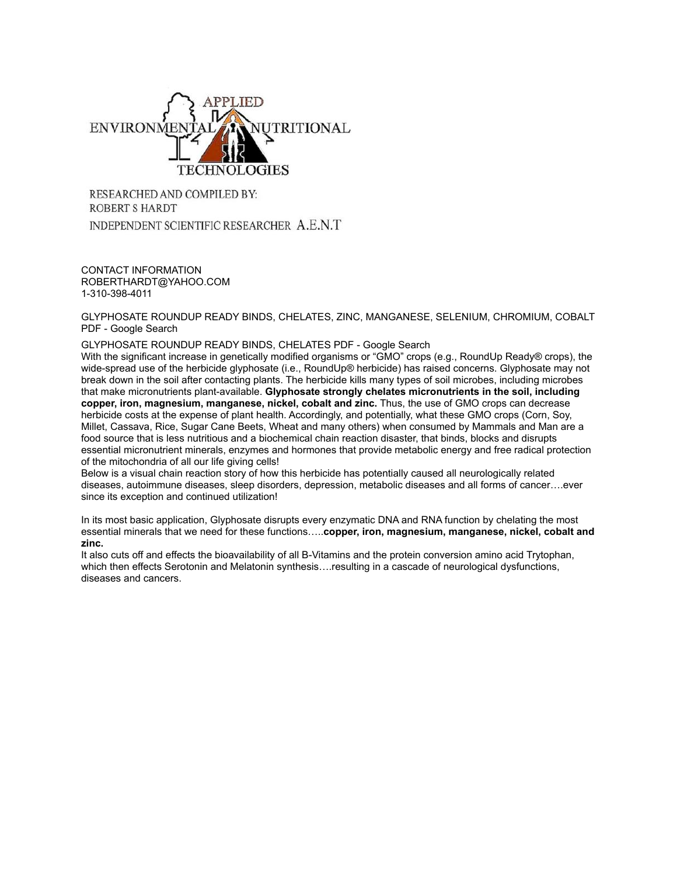

RESEARCHED AND COMPILED BY: **ROBERT S HARDT** INDEPENDENT SCIENTIFIC RESEARCHER A.E.N.T

CONTACT INFORMATION ROBERTHARDT@YAHOO.COM 1-310-398-4011

[GLYPHOSATE ROUNDUP READY BINDS, CHELATES, ZINC, MANGANESE, SELENIUM, CHROMIUM, COBALT](http://www.google.com/webhp?hl=en&tab=ww#hl=en&q=GLYPHOSATE+ROUNDUP+READY+BINDS%2C+CHELATES%2C+ZINC%2C+MANGANESE%2C+SELENIUM%2C+CHROMIUM%2C+COBALT+PDF+) [PDF - Google Search](http://www.google.com/webhp?hl=en&tab=ww#hl=en&q=GLYPHOSATE+ROUNDUP+READY+BINDS%2C+CHELATES%2C+ZINC%2C+MANGANESE%2C+SELENIUM%2C+CHROMIUM%2C+COBALT+PDF+)

[GLYPHOSATE ROUNDUP READY BINDS, CHELATES PDF - Google Search](http://www.google.com/webhp?hl=en&tab=ww#hl=en&q=GLYPHOSATE+ROUNDUP+READY+BINDS%2C+CHELATES+PDF+)

With the significant increase in genetically modified organisms or "GMO" crops (e.g., RoundUp Ready® crops), the wide-spread use of the herbicide glyphosate (i.e., RoundUp® herbicide) has raised concerns. Glyphosate may not break down in the soil after contacting plants. The herbicide kills many types of soil microbes, including microbes that make micronutrients plant-available. **Glyphosate strongly chelates micronutrients in the soil, including copper, iron, magnesium, manganese, nickel, cobalt and zinc.** Thus, the use of GMO crops can decrease herbicide costs at the expense of plant health. Accordingly, and potentially, what these GMO crops (Corn, Soy, Millet, Cassava, Rice, Sugar Cane Beets, Wheat and many others) when consumed by Mammals and Man are a food source that is less nutritious and a biochemical chain reaction disaster, that binds, blocks and disrupts essential micronutrient minerals, enzymes and hormones that provide metabolic energy and free radical protection of the mitochondria of all our life giving cells!

Below is a visual chain reaction story of how this herbicide has potentially caused all neurologically related diseases, autoimmune diseases, sleep disorders, depression, metabolic diseases and all forms of cancer….ever since its exception and continued utilization!

In its most basic application, Glyphosate disrupts every enzymatic DNA and RNA function by chelating the most essential minerals that we need for these functions…..**copper, iron, magnesium, manganese, nickel, cobalt and zinc.** 

It also cuts off and effects the bioavailability of all B-Vitamins and the protein conversion amino acid Trytophan, which then effects Serotonin and Melatonin synthesis....resulting in a cascade of neurological dysfunctions, diseases and cancers.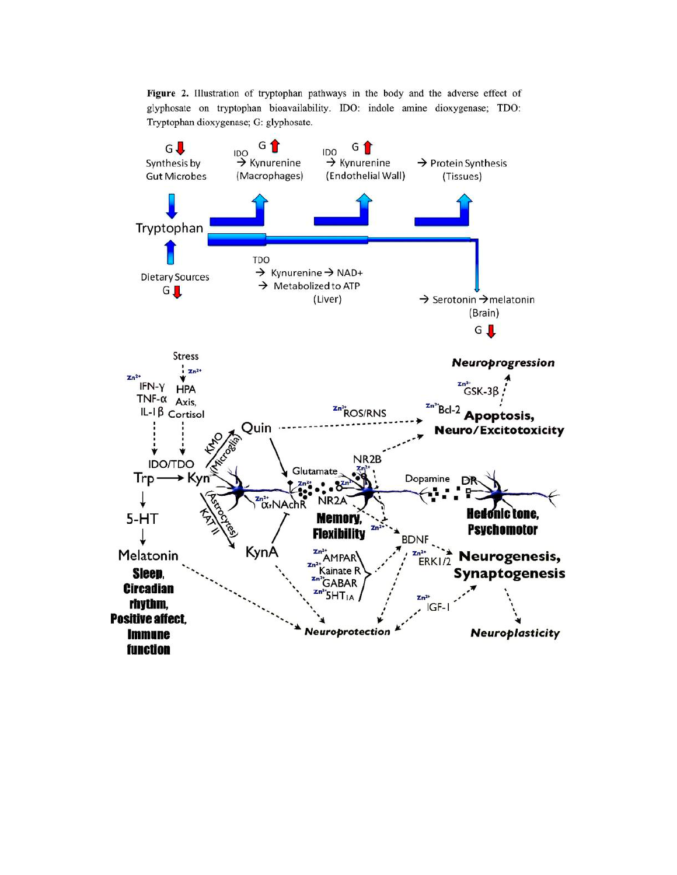Figure 2. Illustration of tryptophan pathways in the body and the adverse effect of glyphosate on tryptophan bioavailability. IDO: indole amine dioxygenase; TDO: Tryptophan dioxygenase; G: glyphosate.

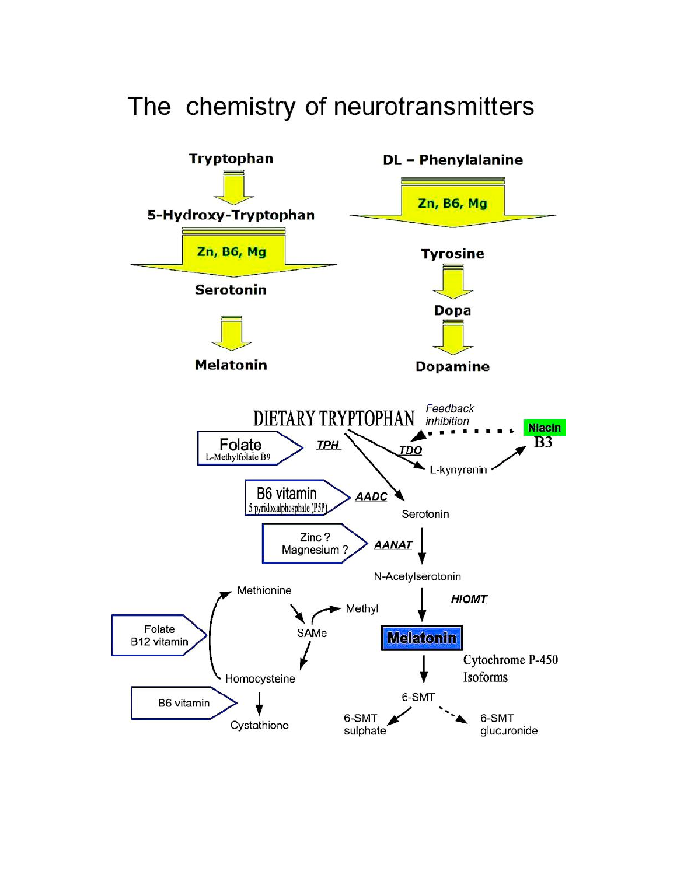

## The chemistry of neurotransmitters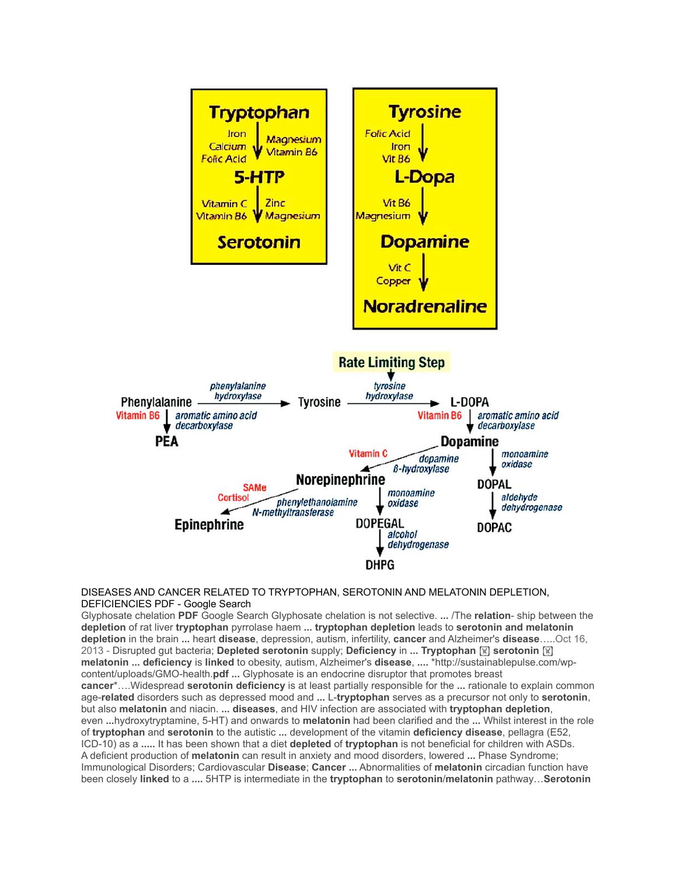

## [DISEASES AND CANCER RELATED TO TRYPTOPHAN, SEROTONIN AND MELATONIN DEPLETION,](http://www.google.com/webhp?hl=en&tab=ww#hl=en&q=DISEASES+AND+CANCER+RELATED+TO+TRYPTOPHAN%2C+SEROTONIN+AND+MELATONIN+DEPLETION%2C+DEFICIENCIES+PDF)  [DEFICIENCIES PDF - Google Search](http://www.google.com/webhp?hl=en&tab=ww#hl=en&q=DISEASES+AND+CANCER+RELATED+TO+TRYPTOPHAN%2C+SEROTONIN+AND+MELATONIN+DEPLETION%2C+DEFICIENCIES+PDF)

Glyphosate chelation **PDF** Google Search Glyphosate chelation is not selective. **...** /The **relation**- ship between the **depletion** of rat liver **tryptophan** pyrrolase haem **... tryptophan depletion** leads to **serotonin and melatonin depletion** in the brain **...** heart **disease**, depression, autism, infertility, **cancer** and Alzheimer's **disease**…..Oct 16, 2013 - Disrupted gut bacteria; **Depleted serotonin** supply; **Deficiency** in **... Tryptophan** ! **serotonin** ! **melatonin ... deficiency** is **linked** to obesity, autism, Alzheimer's **disease**, **....** \*http://sustainablepulse.com/wpcontent/uploads/GMO-health.**pdf ...** Glyphosate is an endocrine disruptor that promotes breast **cancer**\*….Widespread **serotonin deficiency** is at least partially responsible for the **...** rationale to explain common age-**related** disorders such as depressed mood and **...** L-**tryptophan** serves as a precursor not only to **serotonin**, but also **melatonin** and niacin. **... diseases**, and HIV infection are associated with **tryptophan depletion**, even **...**hydroxytryptamine, 5-HT) and onwards to **melatonin** had been clarified and the **...** Whilst interest in the role of **tryptophan** and **serotonin** to the autistic **...** development of the vitamin **deficiency disease**, pellagra (E52, ICD-10) as a **.....** It has been shown that a diet **depleted** of **tryptophan** is not beneficial for children with ASDs. A deficient production of **melatonin** can result in anxiety and mood disorders, lowered **...** Phase Syndrome; Immunological Disorders; Cardiovascular **Disease**; **Cancer ...** Abnormalities of **melatonin** circadian function have been closely **linked** to a **....** 5HTP is intermediate in the **tryptophan** to **serotonin**/**melatonin** pathway…**Serotonin**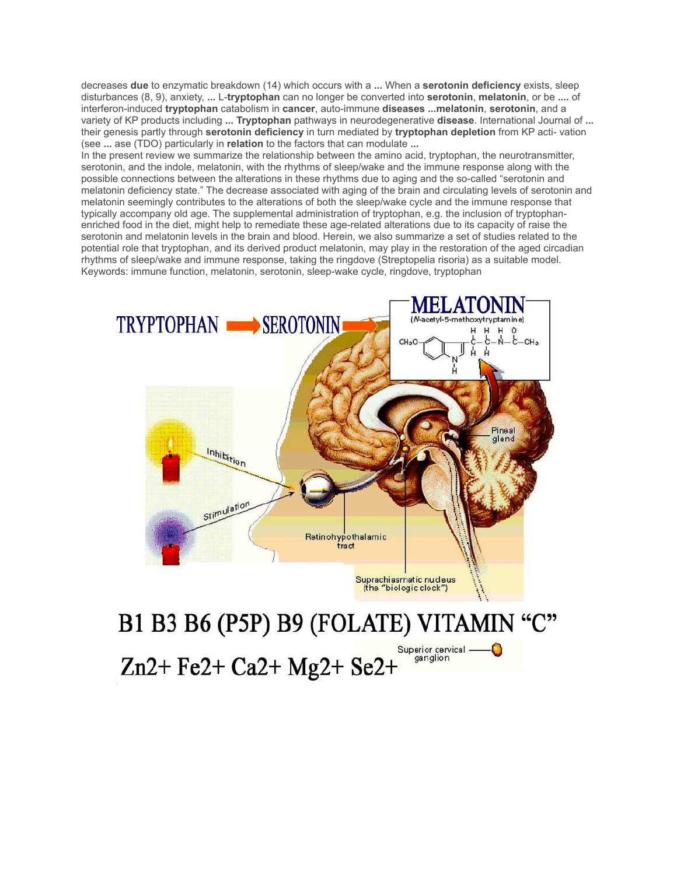decreases **due** to enzymatic breakdown (14) which occurs with a **...** When a **serotonin deficiency** exists, sleep disturbances (8, 9), anxiety, **...** L-**tryptophan** can no longer be converted into **serotonin**, **melatonin**, or be **....** of interferon-induced **tryptophan** catabolism in **cancer**, auto-immune **diseases ...melatonin**, **serotonin**, and a variety of KP products including **... Tryptophan** pathways in neurodegenerative **disease**. International Journal of **...** their genesis partly through **serotonin deficiency** in turn mediated by **tryptophan depletion** from KP acti- vation (see **...** ase (TDO) particularly in **relation** to the factors that can modulate **...**

In the present review we summarize the relationship between the amino acid, tryptophan, the neurotransmitter, serotonin, and the indole, melatonin, with the rhythms of sleep/wake and the immune response along with the possible connections between the alterations in these rhythms due to aging and the so-called "serotonin and melatonin deficiency state." The decrease associated with aging of the brain and circulating levels of serotonin and melatonin seemingly contributes to the alterations of both the sleep/wake cycle and the immune response that typically accompany old age. The supplemental administration of tryptophan, e.g. the inclusion of tryptophanenriched food in the diet, might help to remediate these age-related alterations due to its capacity of raise the serotonin and melatonin levels in the brain and blood. Herein, we also summarize a set of studies related to the potential role that tryptophan, and its derived product melatonin, may play in the restoration of the aged circadian rhythms of sleep/wake and immune response, taking the ringdove (Streptopelia risoria) as a suitable model. Keywords: immune function, melatonin, serotonin, sleep-wake cycle, ringdove, tryptophan



Superior cervical —<br>ganglion Zn2+ Fe2+ Ca2+ Mg2+ Se2+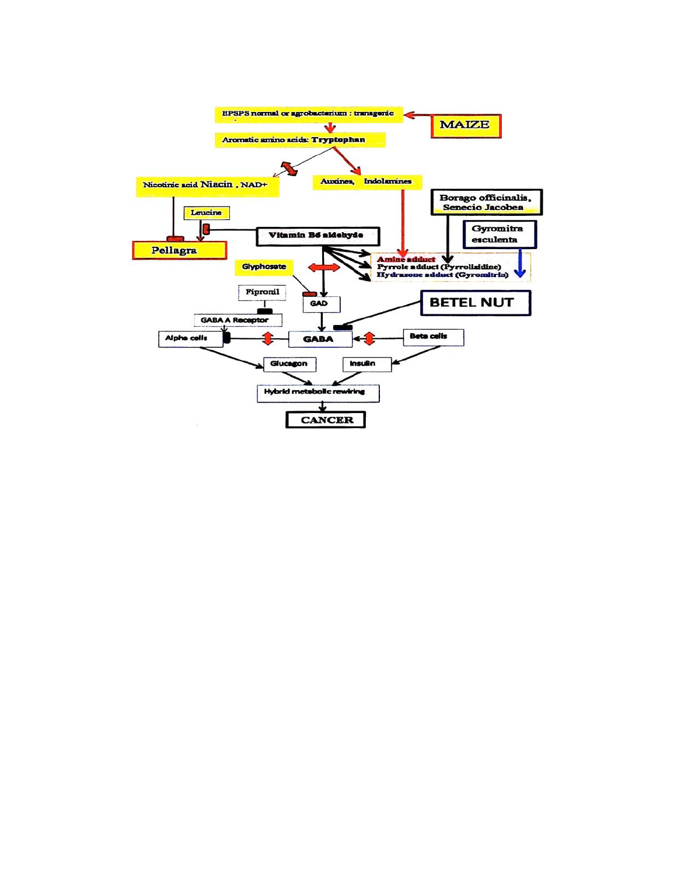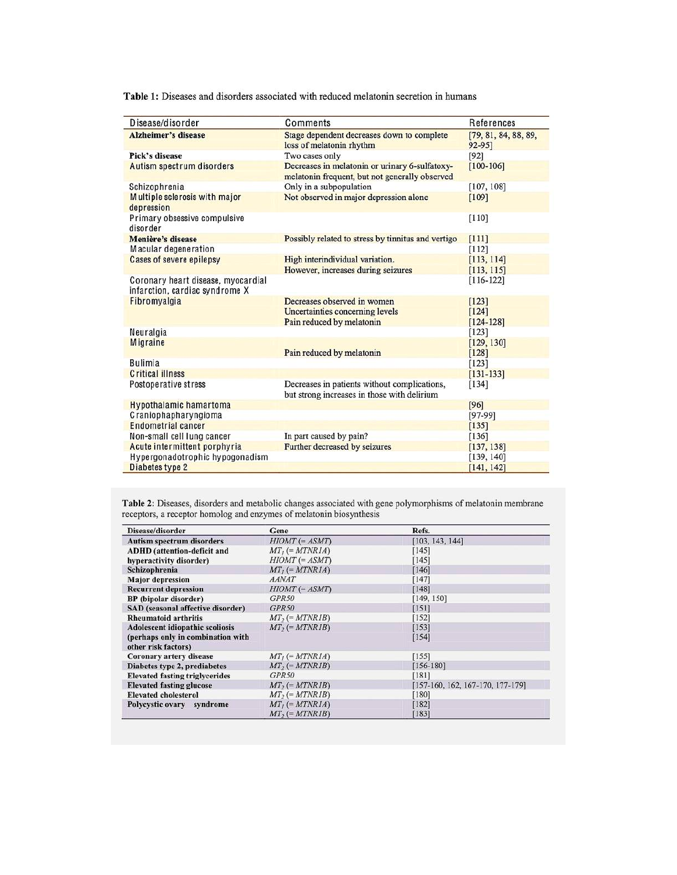Table 1: Diseases and disorders associated with reduced melatonin secretion in humans

| Disease/disorder                                                     | Comments                                                                                         | References                     |
|----------------------------------------------------------------------|--------------------------------------------------------------------------------------------------|--------------------------------|
| <b>Alzheimer's disease</b>                                           | Stage dependent decreases down to complete<br>loss of melatonin rhythm                           | [79, 81, 84, 88, 89,<br>92-95] |
| Pick's disease                                                       | Two cases only                                                                                   | $[92]$                         |
| Autism spectrum disorders                                            | Decreases in melatonin or urinary 6-sulfatoxy-<br>melatonin frequent, but not generally observed | $[100 - 106]$                  |
| Schizophrenia                                                        | Only in a subpopulation                                                                          | [107, 108]                     |
| Multiple sclerosis with major<br>depression                          | Not observed in major depression alone                                                           | [109]                          |
| Primary obsessive compulsive<br>disorder                             |                                                                                                  | [110]                          |
| Menière's disease                                                    | Possibly related to stress by tinnitus and vertigo                                               | [111]                          |
| Macular degeneration                                                 |                                                                                                  | [112]                          |
| Cases of severe epilepsy                                             | High interindividual variation.                                                                  | [113, 114]                     |
|                                                                      | However, increases during seizures                                                               | [113, 115]                     |
| Coronary heart disease, myocardial<br>infarction, cardiac syndrome X |                                                                                                  | $[116-122]$                    |
| Fibromvalgia                                                         | Decreases observed in women                                                                      | [123]                          |
|                                                                      | Uncertainties concerning levels                                                                  | [124]                          |
|                                                                      | Pain reduced by melatonin                                                                        | $[124 - 128]$                  |
| Neuralgia                                                            |                                                                                                  | $[123]$                        |
| Migraine                                                             |                                                                                                  | [129, 130]                     |
|                                                                      | Pain reduced by melatonin                                                                        | [128]                          |
| <b>Bulimia</b>                                                       |                                                                                                  | [123]                          |
| <b>Critical illness</b>                                              |                                                                                                  | $[131 - 133]$                  |
| Postoperative stress                                                 | Decreases in patients without complications,<br>but strong increases in those with delirium      | [134]                          |
| <b>Hypothalamic hamartoma</b>                                        |                                                                                                  | $[96]$                         |
| Craniophapharyngioma                                                 |                                                                                                  | $[97-99]$                      |
| <b>Endometrial cancer</b>                                            |                                                                                                  | [135]                          |
| Non-small cell lung cancer                                           | In part caused by pain?                                                                          | [136]                          |
| Acute intermittent porphyria                                         | Further decreased by seizures                                                                    | [137, 138]                     |
| Hypergonadotrophic hypogonadism                                      |                                                                                                  | [139, 140]                     |
| Diabetes type 2                                                      |                                                                                                  | [141, 142]                     |

Table 2: Diseases, disorders and metabolic changes associated with gene polymorphisms of melatonin membrane receptors, a receptor homolog and enzymes of melatonin biosynthesis

| Disease/disorder                      | Gene                                              | Refs.<br>[103, 143, 144]           |  |
|---------------------------------------|---------------------------------------------------|------------------------------------|--|
| <b>Autism spectrum disorders</b>      | $H IOMT (= ASMT)$                                 |                                    |  |
| <b>ADHD</b> (attention-deficit and    | $MT_i (= MTNRIA)$                                 | $[145]$                            |  |
| hyperactivity disorder)               | $H I OMT (= ASMT)$                                | [145]                              |  |
| Schizophrenia                         | $MT_i (= MTNR1A)$                                 | [146]                              |  |
| <b>Major</b> depression               | <b>AANAT</b>                                      | [147]                              |  |
| <b>Recurrent depression</b>           | $H I OMT (= ASMT)$                                | [148]                              |  |
| <b>BP</b> (bipolar disorder)          | GPR50                                             | [149, 150]                         |  |
| SAD (seasonal affective disorder)     | GPR50                                             | [151]                              |  |
| <b>Rheumatoid arthritis</b>           | $MT_2 (= MTNRIB)$                                 | [152]                              |  |
| Adolescent idiopathic scoliosis       | $MT$ <sub>2</sub> $(=MTNRIB)$                     | [153]                              |  |
| (perhaps only in combination with     |                                                   | [154]                              |  |
| other risk factors)                   |                                                   |                                    |  |
| Coronary artery disease               | $MT_I (= MTNRIA)$                                 | [155]                              |  |
| Diabetes type 2, prediabetes          | $MT$ <sub>2</sub> (= $MTNRIB$ )                   | $[156 - 180]$                      |  |
| <b>Elevated fasting triglycerides</b> | GPR50                                             | [181]                              |  |
| <b>Elevated fasting glucose</b>       | $MT_2 (= MTNRIB)$                                 | $[157-160, 162, 167-170, 177-179]$ |  |
| <b>Elevated cholesterol</b>           | $MT_2 (= MTNRIB)$                                 | $[180]$                            |  |
| Polycystic ovary syndrome             | $MT_1 (= MTNRIA)$<br>$MT$ <sub>2</sub> (= MTNR1B) | [182]<br>[183]                     |  |